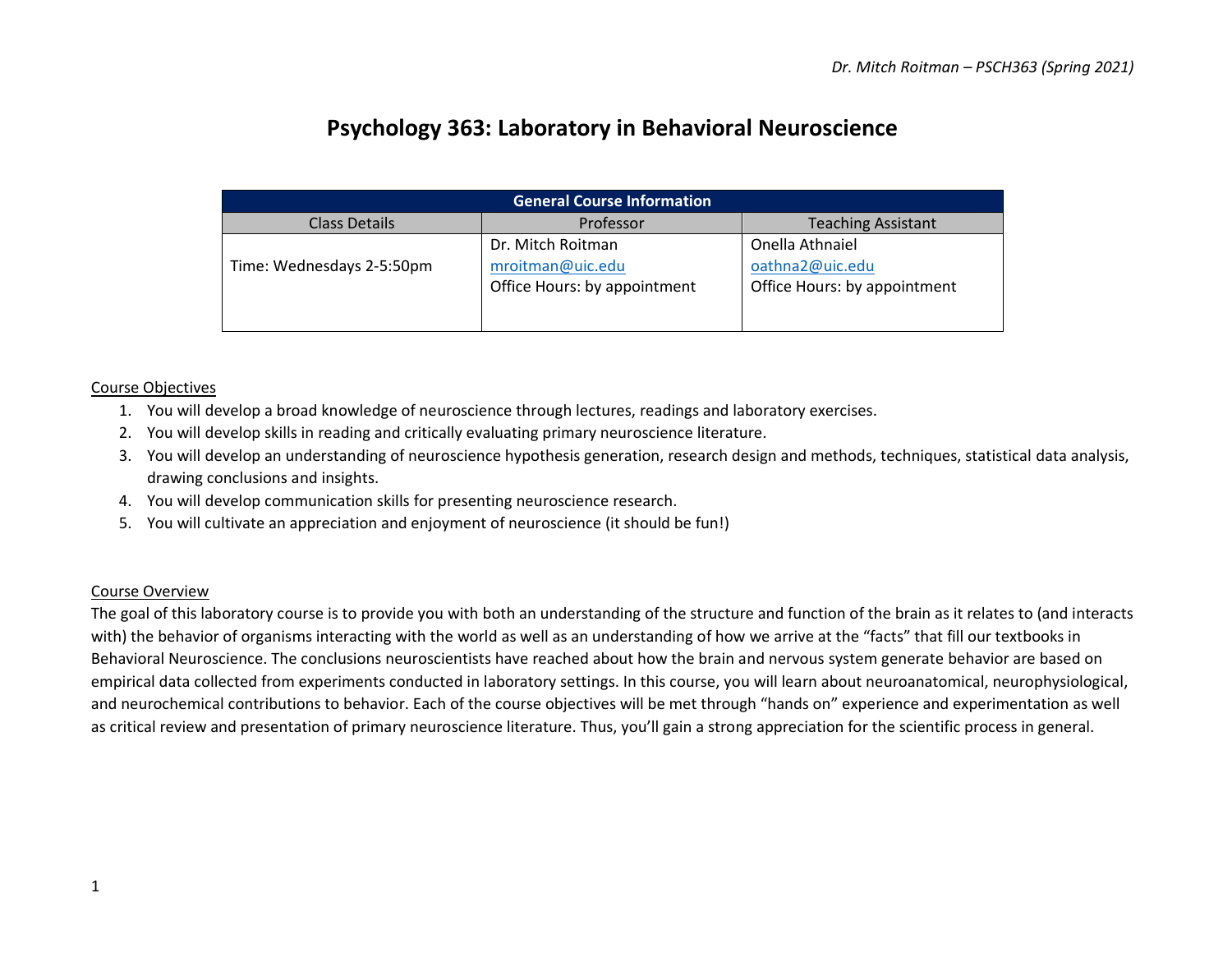# **Psychology 363: Laboratory in Behavioral Neuroscience**

| <b>General Course Information</b> |                                                                       |                                                                    |  |  |
|-----------------------------------|-----------------------------------------------------------------------|--------------------------------------------------------------------|--|--|
| Class Details                     | Professor                                                             | <b>Teaching Assistant</b>                                          |  |  |
| Time: Wednesdays 2-5:50pm         | Dr. Mitch Roitman<br>mroitman@uic.edu<br>Office Hours: by appointment | Onella Athnaiel<br>oathna2@uic.edu<br>Office Hours: by appointment |  |  |

#### Course Objectives

- 1. You will develop a broad knowledge of neuroscience through lectures, readings and laboratory exercises.
- 2. You will develop skills in reading and critically evaluating primary neuroscience literature.
- 3. You will develop an understanding of neuroscience hypothesis generation, research design and methods, techniques, statistical data analysis, drawing conclusions and insights.
- 4. You will develop communication skills for presenting neuroscience research.
- 5. You will cultivate an appreciation and enjoyment of neuroscience (it should be fun!)

#### Course Overview

The goal of this laboratory course is to provide you with both an understanding of the structure and function of the brain as it relates to (and interacts with) the behavior of organisms interacting with the world as well as an understanding of how we arrive at the "facts" that fill our textbooks in Behavioral Neuroscience. The conclusions neuroscientists have reached about how the brain and nervous system generate behavior are based on empirical data collected from experiments conducted in laboratory settings. In this course, you will learn about neuroanatomical, neurophysiological, and neurochemical contributions to behavior. Each of the course objectives will be met through "hands on" experience and experimentation as well as critical review and presentation of primary neuroscience literature. Thus, you'll gain a strong appreciation for the scientific process in general.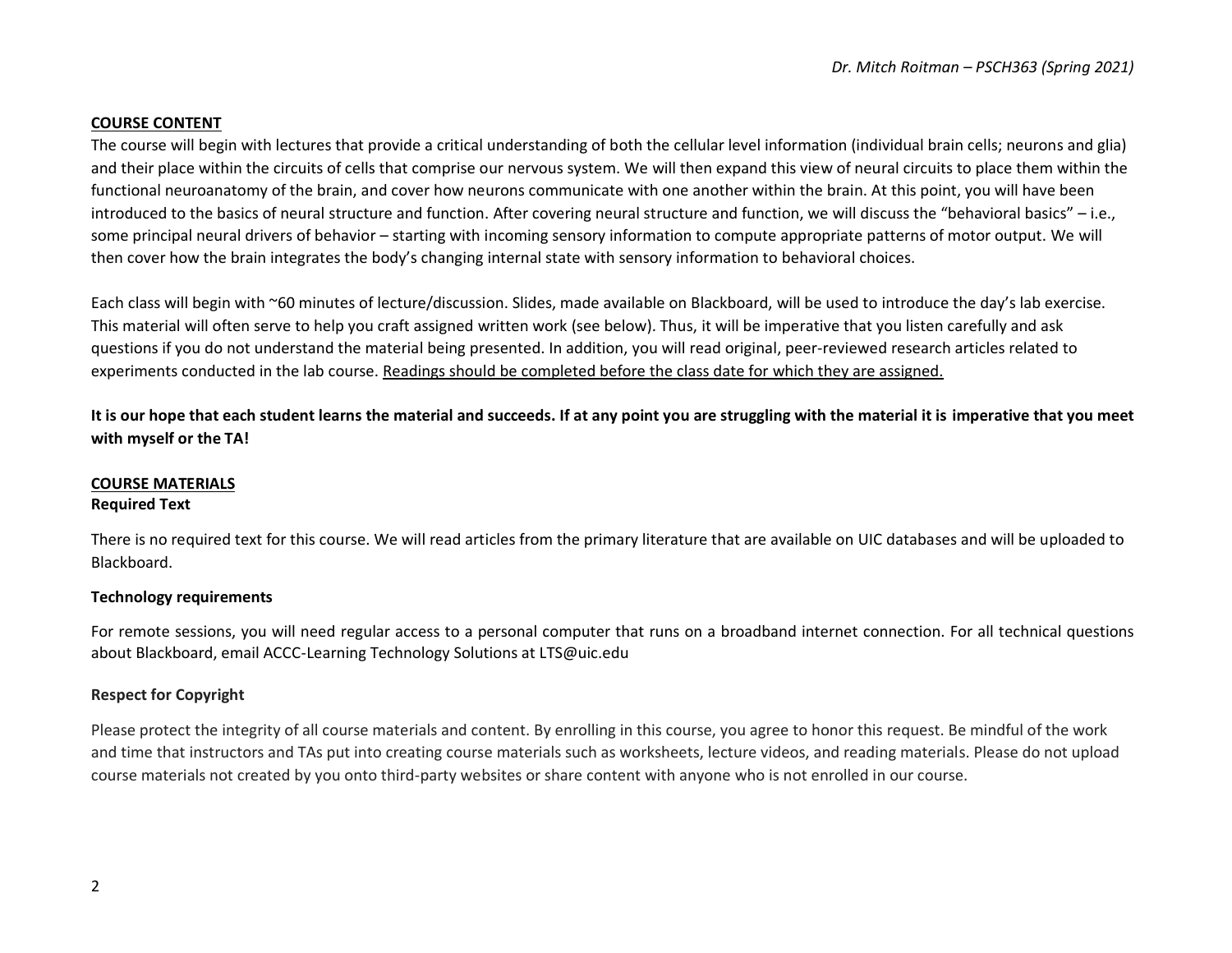## **COURSE CONTENT**

The course will begin with lectures that provide a critical understanding of both the cellular level information (individual brain cells; neurons and glia) and their place within the circuits of cells that comprise our nervous system. We will then expand this view of neural circuits to place them within the functional neuroanatomy of the brain, and cover how neurons communicate with one another within the brain. At this point, you will have been introduced to the basics of neural structure and function. After covering neural structure and function, we will discuss the "behavioral basics" – i.e., some principal neural drivers of behavior – starting with incoming sensory information to compute appropriate patterns of motor output. We will then cover how the brain integrates the body's changing internal state with sensory information to behavioral choices.

Each class will begin with ~60 minutes of lecture/discussion. Slides, made available on Blackboard, will be used to introduce the day's lab exercise. This material will often serve to help you craft assigned written work (see below). Thus, it will be imperative that you listen carefully and ask questions if you do not understand the material being presented. In addition, you will read original, peer-reviewed research articles related to experiments conducted in the lab course. Readings should be completed before the class date for which they are assigned.

**It is our hope that each student learns the material and succeeds. If at any point you are struggling with the material it is imperative that you meet with myself or the TA!** 

## **COURSE MATERIALS**

#### **Required Text**

There is no required text for this course. We will read articles from the primary literature that are available on UIC databases and will be uploaded to Blackboard.

#### **Technology requirements**

For remote sessions, you will need regular access to a personal computer that runs on a broadband internet connection. For all technical questions about Blackboard, email ACCC-Learning Technology Solutions at LTS@uic.edu

#### **Respect for Copyright**

Please protect the integrity of all course materials and content. By enrolling in this course, you agree to honor this request. Be mindful of the work and time that instructors and TAs put into creating course materials such as worksheets, lecture videos, and reading materials. Please do not upload course materials not created by you onto third-party websites or share content with anyone who is not enrolled in our course.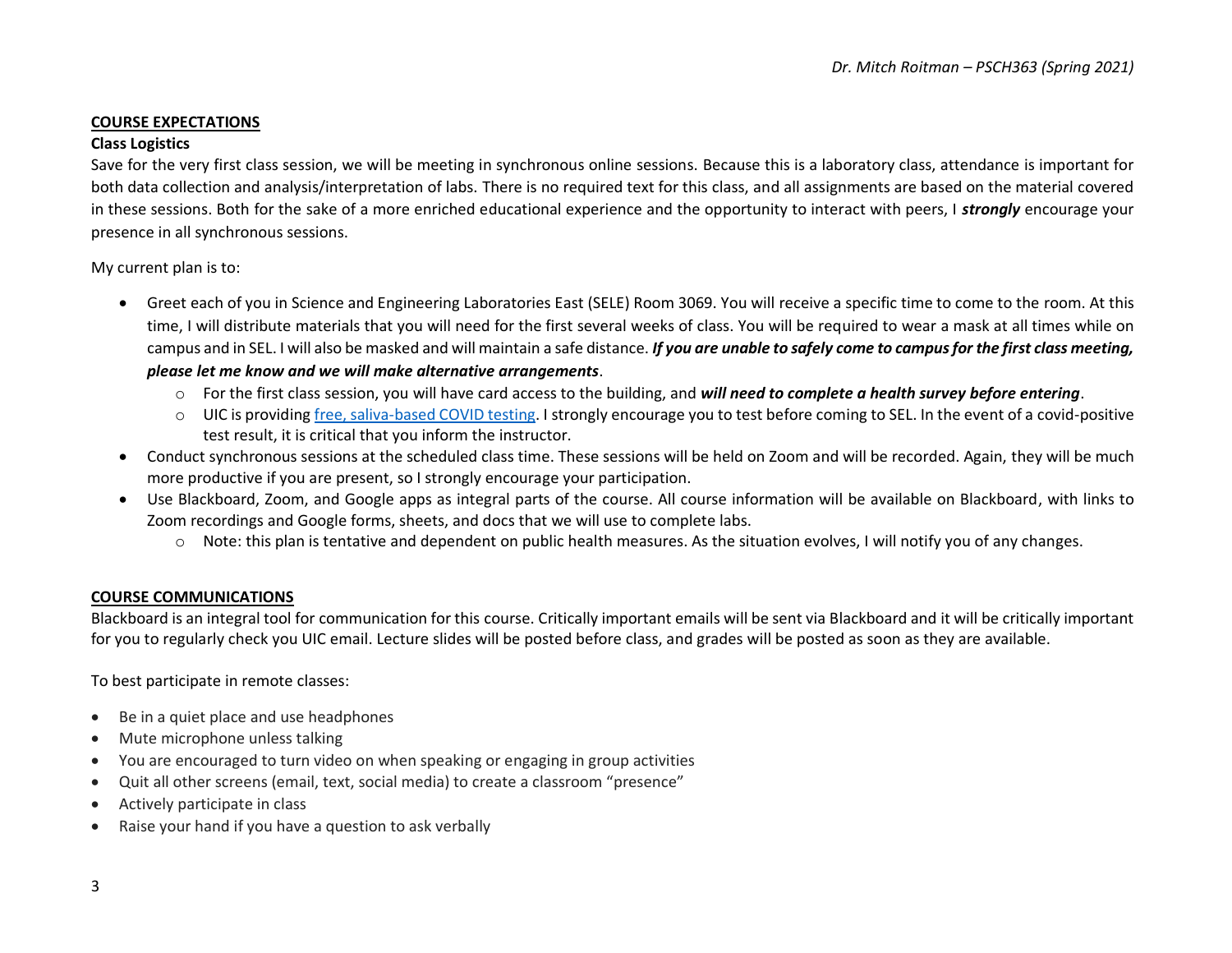## **COURSE EXPECTATIONS**

#### **Class Logistics**

Save for the very first class session, we will be meeting in synchronous online sessions. Because this is a laboratory class, attendance is important for both data collection and analysis/interpretation of labs. There is no required text for this class, and all assignments are based on the material covered in these sessions. Both for the sake of a more enriched educational experience and the opportunity to interact with peers, I *strongly* encourage your presence in all synchronous sessions.

My current plan is to:

- Greet each of you in Science and Engineering Laboratories East (SELE) Room 3069. You will receive a specific time to come to the room. At this time, I will distribute materials that you will need for the first several weeks of class. You will be required to wear a mask at all times while on campus and in SEL. I will also be masked and will maintain a safe distance. *If you are unable to safely come to campus for the first class meeting, please let me know and we will make alternative arrangements*.
	- o For the first class session, you will have card access to the building, and *will need to complete a health survey before entering*.
	- o UIC is providing [free, saliva-based COVID testing.](https://today.uic.edu/covid-19-saliva-testing) I strongly encourage you to test before coming to SEL. In the event of a covid-positive test result, it is critical that you inform the instructor.
- Conduct synchronous sessions at the scheduled class time. These sessions will be held on Zoom and will be recorded. Again, they will be much more productive if you are present, so I strongly encourage your participation.
- Use Blackboard, Zoom, and Google apps as integral parts of the course. All course information will be available on Blackboard, with links to Zoom recordings and Google forms, sheets, and docs that we will use to complete labs.
	- o Note: this plan is tentative and dependent on public health measures. As the situation evolves, I will notify you of any changes.

#### **COURSE COMMUNICATIONS**

Blackboard is an integral tool for communication for this course. Critically important emails will be sent via Blackboard and it will be critically important for you to regularly check you UIC email. Lecture slides will be posted before class, and grades will be posted as soon as they are available.

To best participate in remote classes:

- Be in a quiet place and use headphones
- Mute microphone unless talking
- You are encouraged to turn video on when speaking or engaging in group activities
- Quit all other screens (email, text, social media) to create a classroom "presence"
- Actively participate in class
- Raise your hand if you have a question to ask verbally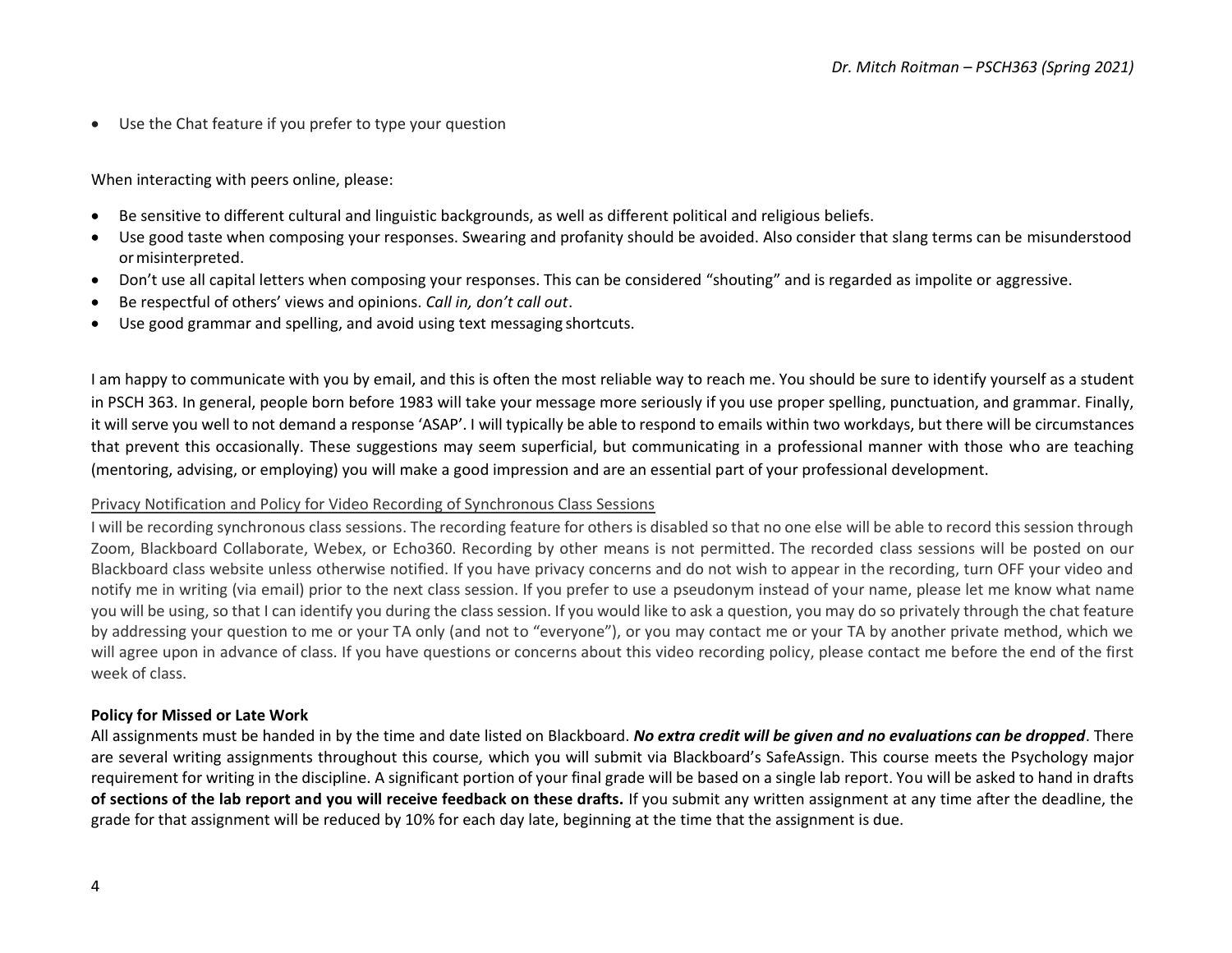• Use the Chat feature if you prefer to type your question

When interacting with peers online, please:

- Be sensitive to different cultural and linguistic backgrounds, as well as different political and religious beliefs.
- Use good taste when composing your responses. Swearing and profanity should be avoided. Also consider that slang terms can be misunderstood ormisinterpreted.
- Don't use all capital letters when composing your responses. This can be considered "shouting" and is regarded as impolite or aggressive.
- Be respectful of others' views and opinions. *Call in, don't call out*.
- Use good grammar and spelling, and avoid using text messaging shortcuts.

I am happy to communicate with you by email, and this is often the most reliable way to reach me. You should be sure to identify yourself as a student in PSCH 363. In general, people born before 1983 will take your message more seriously if you use proper spelling, punctuation, and grammar. Finally, it will serve you well to not demand a response 'ASAP'. I will typically be able to respond to emails within two workdays, but there will be circumstances that prevent this occasionally. These suggestions may seem superficial, but communicating in a professional manner with those who are teaching (mentoring, advising, or employing) you will make a good impression and are an essential part of your professional development.

#### Privacy Notification and Policy for Video Recording of Synchronous Class Sessions

I will be recording synchronous class sessions. The recording feature for others is disabled so that no one else will be able to record this session through Zoom, Blackboard Collaborate, Webex, or Echo360. Recording by other means is not permitted. The recorded class sessions will be posted on our Blackboard class website unless otherwise notified. If you have privacy concerns and do not wish to appear in the recording, turn OFF your video and notify me in writing (via email) prior to the next class session. If you prefer to use a pseudonym instead of your name, please let me know what name you will be using, so that I can identify you during the class session. If you would like to ask a question, you may do so privately through the chat feature by addressing your question to me or your TA only (and not to "everyone"), or you may contact me or your TA by another private method, which we will agree upon in advance of class. If you have questions or concerns about this video recording policy, please contact me before the end of the first week of class.

#### **Policy for Missed or Late Work**

All assignments must be handed in by the time and date listed on Blackboard. *No extra credit will be given and no evaluations can be dropped*. There are several writing assignments throughout this course, which you will submit via Blackboard's SafeAssign. This course meets the Psychology major requirement for writing in the discipline. A significant portion of your final grade will be based on a single lab report. You will be asked to hand in drafts **of sections of the lab report and you will receive feedback on these drafts.** If you submit any written assignment at any time after the deadline, the grade for that assignment will be reduced by 10% for each day late, beginning at the time that the assignment is due.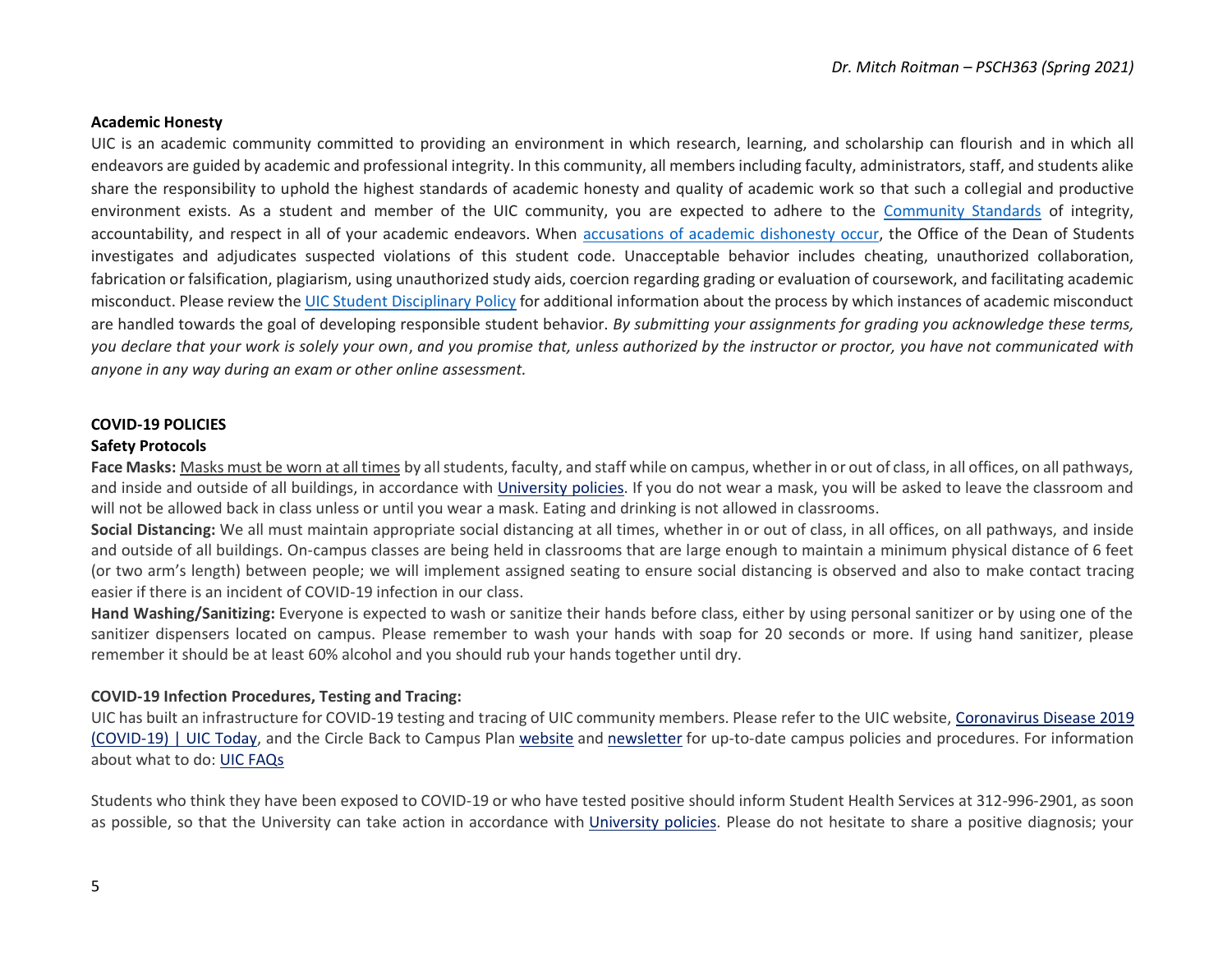#### **Academic Honesty**

UIC is an academic community committed to providing an environment in which research, learning, and scholarship can flourish and in which all endeavors are guided by academic and professional integrity. In this community, all members including faculty, administrators, staff, and students alike share the responsibility to uphold the highest standards of academic honesty and quality of academic work so that such a collegial and productive environment exists. As a student and member of the UIC community, you are expected to adhere to the [Community Standards](https://dos.uic.edu/community-standards/) of integrity, accountability, and respect in all of your academic endeavors. When [accusations of academic dishonesty occur,](https://dos.uic.edu/community-standards/academic-integrity/) the Office of the Dean of Students investigates and adjudicates suspected violations of this student code. Unacceptable behavior includes cheating, unauthorized collaboration, fabrication or falsification, plagiarism, using unauthorized study aids, coercion regarding grading or evaluation of coursework, and facilitating academic misconduct. Please review the [UIC Student Disciplinary Policy](https://dos.uic.edu/wp-content/uploads/sites/262/2018/10/DOS-Student-Disciplinary-Policy-2018-2019-FINAL.pdf) for additional information about the process by which instances of academic misconduct are handled towards the goal of developing responsible student behavior. *By submitting your assignments for grading you acknowledge these terms, you declare that your work is solely your own*, *and you promise that, unless authorized by the instructor or proctor, you have not communicated with anyone in any way during an exam or other online assessment.* 

#### **COVID-19 POLICIES**

#### **Safety Protocols**

**Face Masks:** Masks must be worn at all times by all students, faculty, and staff while on campus, whether in or out of class, in all offices, on all pathways, and inside and outside of all buildings, in accordance with [University](https://today.uic.edu/coronavirus) policies. If you do not wear a mask, you will be asked to leave the classroom and will not be allowed back in class unless or until you wear a mask. Eating and drinking is not allowed in classrooms.

**Social Distancing:** We all must maintain appropriate social distancing at all times, whether in or out of class, in all offices, on all pathways, and inside and outside of all buildings. On-campus classes are being held in classrooms that are large enough to maintain a minimum physical distance of 6 feet (or two arm's length) between people; we will implement assigned seating to ensure social distancing is observed and also to make contact tracing easier if there is an incident of COVID-19 infection in our class.

**Hand Washing/Sanitizing:** Everyone is expected to wash or sanitize their hands before class, either by using personal sanitizer or by using one of the sanitizer dispensers located on campus. Please remember to wash your hands with soap for 20 seconds or more. If using hand sanitizer, please remember it should be at least 60% alcohol and you should rub your hands together until dry.

#### **COVID-19 Infection Procedures, Testing and Tracing:**

UIC has built an infrastructure for COVID-19 testing and tracing of UIC community members. Please refer to the UIC website, [Coronavirus](https://today.uic.edu/coronavirus) Disease 2019 [\(COVID-19\)](https://today.uic.edu/coronavirus) | UIC Today, and the Circle Back to Campus Plan [website](https://today.uic.edu/circle-back-to-campus) and [newsletter](https://today.uic.edu/coronavirus-recovery) for up-to-date campus policies and procedures. For information about what to do: UIC [FAQs](https://today.uic.edu/frequently-asked-questions)

Students who think they have been exposed to COVID-19 or who have tested positive should inform Student Health Services at 312-996-2901, as soon as possible, so that the University can take action in accordance with [University](https://today.uic.edu/coronavirus) policies. Please do not hesitate to share a positive diagnosis; your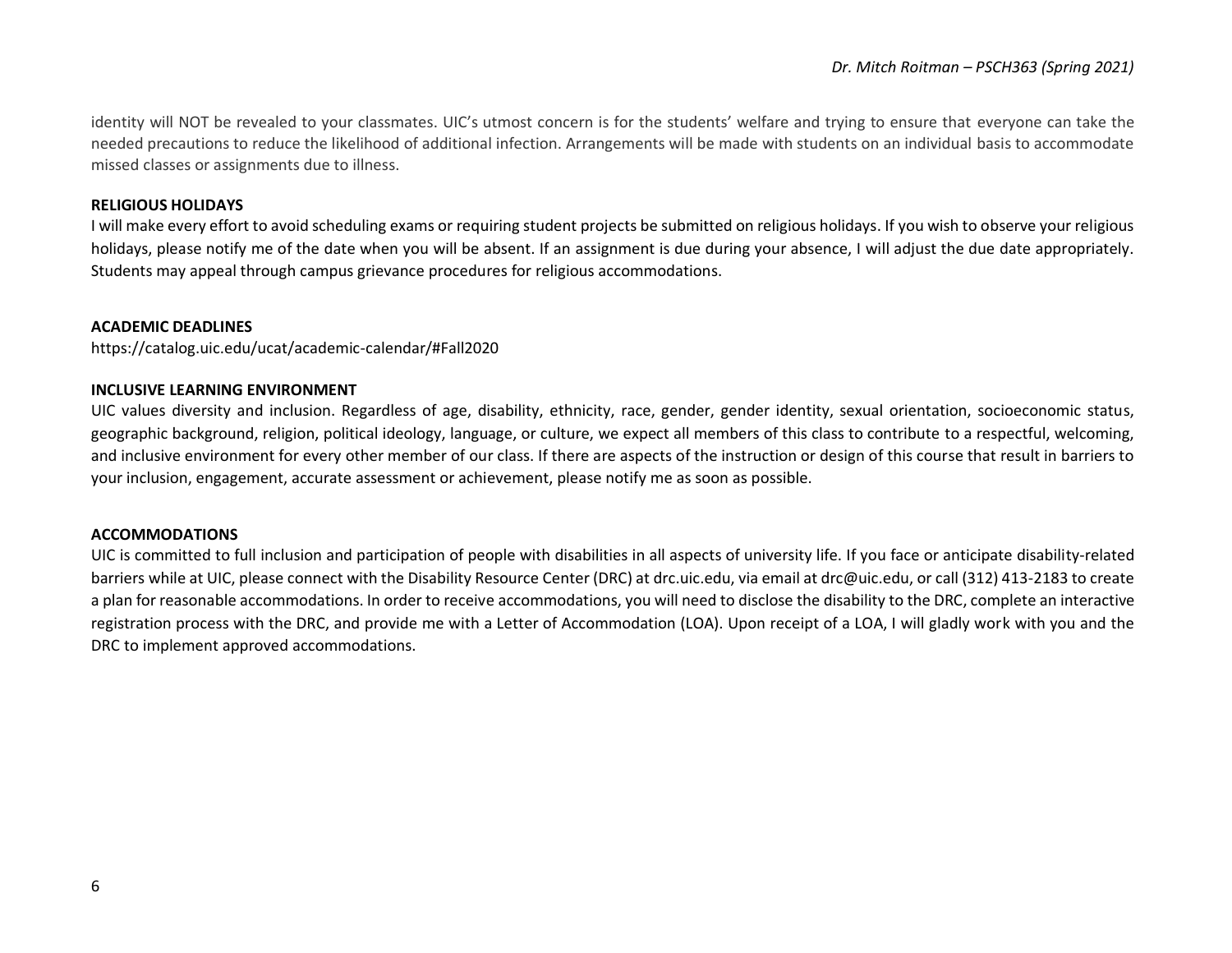identity will NOT be revealed to your classmates. UIC's utmost concern is for the students' welfare and trying to ensure that everyone can take the needed precautions to reduce the likelihood of additional infection. Arrangements will be made with students on an individual basis to accommodate missed classes or assignments due to illness.

## **RELIGIOUS HOLIDAYS**

I will make every effort to avoid scheduling exams or requiring student projects be submitted on religious holidays. If you wish to observe your religious holidays, please notify me of the date when you will be absent. If an assignment is due during your absence, I will adjust the due date appropriately. Students may appeal through campus grievance procedures for religious accommodations.

## **ACADEMIC DEADLINES**

https://catalog.uic.edu/ucat/academic-calendar/#Fall2020

#### **INCLUSIVE LEARNING ENVIRONMENT**

UIC values diversity and inclusion. Regardless of age, disability, ethnicity, race, gender, gender identity, sexual orientation, socioeconomic status, geographic background, religion, political ideology, language, or culture, we expect all members of this class to contribute to a respectful, welcoming, and inclusive environment for every other member of our class. If there are aspects of the instruction or design of this course that result in barriers to your inclusion, engagement, accurate assessment or achievement, please notify me as soon as possible.

#### **ACCOMMODATIONS**

UIC is committed to full inclusion and participation of people with disabilities in all aspects of university life. If you face or anticipate disability-related barriers while at UIC, please connect with the Disability Resource Center (DRC) at drc.uic.edu, via email at drc@uic.edu, or call (312) 413-2183 to create a plan for reasonable accommodations. In order to receive accommodations, you will need to disclose the disability to the DRC, complete an interactive registration process with the DRC, and provide me with a Letter of Accommodation (LOA). Upon receipt of a LOA, I will gladly work with you and the DRC to implement approved accommodations.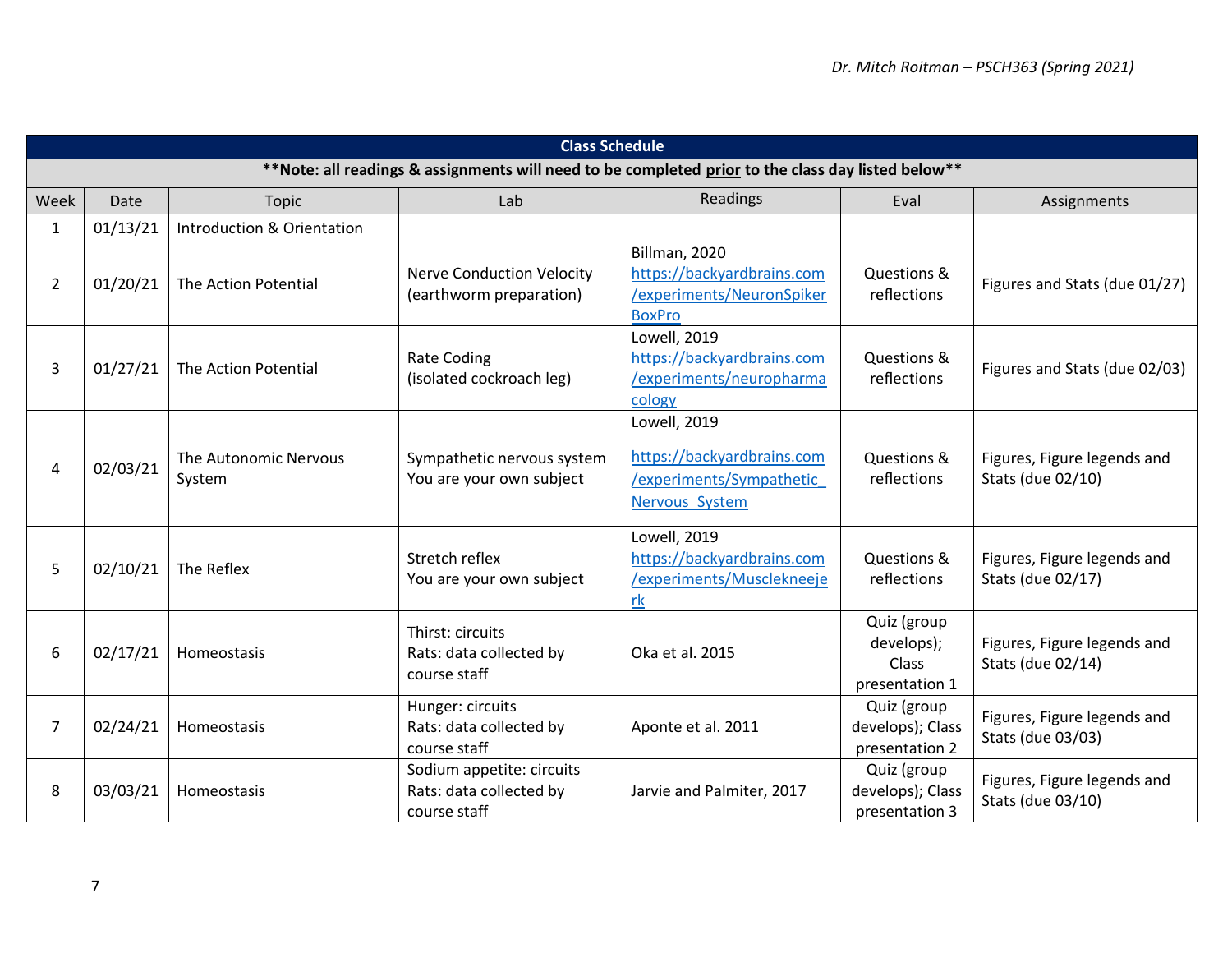|                | <b>Class Schedule</b>                                                                               |                                 |                                                                      |                                                                                           |                                                      |                                                  |
|----------------|-----------------------------------------------------------------------------------------------------|---------------------------------|----------------------------------------------------------------------|-------------------------------------------------------------------------------------------|------------------------------------------------------|--------------------------------------------------|
|                | ** Note: all readings & assignments will need to be completed prior to the class day listed below** |                                 |                                                                      |                                                                                           |                                                      |                                                  |
| Week           | Date                                                                                                | Topic                           | Lab                                                                  | Readings                                                                                  | Eval                                                 | Assignments                                      |
| $\mathbf{1}$   | 01/13/21                                                                                            | Introduction & Orientation      |                                                                      |                                                                                           |                                                      |                                                  |
| $\overline{2}$ | 01/20/21                                                                                            | The Action Potential            | <b>Nerve Conduction Velocity</b><br>(earthworm preparation)          | Billman, 2020<br>https://backyardbrains.com<br>/experiments/NeuronSpiker<br><b>BoxPro</b> | Questions &<br>reflections                           | Figures and Stats (due 01/27)                    |
| 3              | 01/27/21                                                                                            | The Action Potential            | <b>Rate Coding</b><br>(isolated cockroach leg)                       | Lowell, 2019<br>https://backyardbrains.com<br>/experiments/neuropharma<br>cology          | Questions &<br>reflections                           | Figures and Stats (due 02/03)                    |
| 4              | 02/03/21                                                                                            | The Autonomic Nervous<br>System | Sympathetic nervous system<br>You are your own subject               | Lowell, 2019<br>https://backyardbrains.com<br>/experiments/Sympathetic<br>Nervous System  | Questions &<br>reflections                           | Figures, Figure legends and<br>Stats (due 02/10) |
| 5              | 02/10/21                                                                                            | The Reflex                      | Stretch reflex<br>You are your own subject                           | Lowell, 2019<br>https://backyardbrains.com<br>/experiments/Musclekneeje<br>rk             | Questions &<br>reflections                           | Figures, Figure legends and<br>Stats (due 02/17) |
| 6              | 02/17/21                                                                                            | Homeostasis                     | Thirst: circuits<br>Rats: data collected by<br>course staff          | Oka et al. 2015                                                                           | Quiz (group<br>develops);<br>Class<br>presentation 1 | Figures, Figure legends and<br>Stats (due 02/14) |
| $\overline{7}$ | 02/24/21                                                                                            | Homeostasis                     | Hunger: circuits<br>Rats: data collected by<br>course staff          | Aponte et al. 2011                                                                        | Quiz (group<br>develops); Class<br>presentation 2    | Figures, Figure legends and<br>Stats (due 03/03) |
| 8              | 03/03/21                                                                                            | Homeostasis                     | Sodium appetite: circuits<br>Rats: data collected by<br>course staff | Jarvie and Palmiter, 2017                                                                 | Quiz (group<br>develops); Class<br>presentation 3    | Figures, Figure legends and<br>Stats (due 03/10) |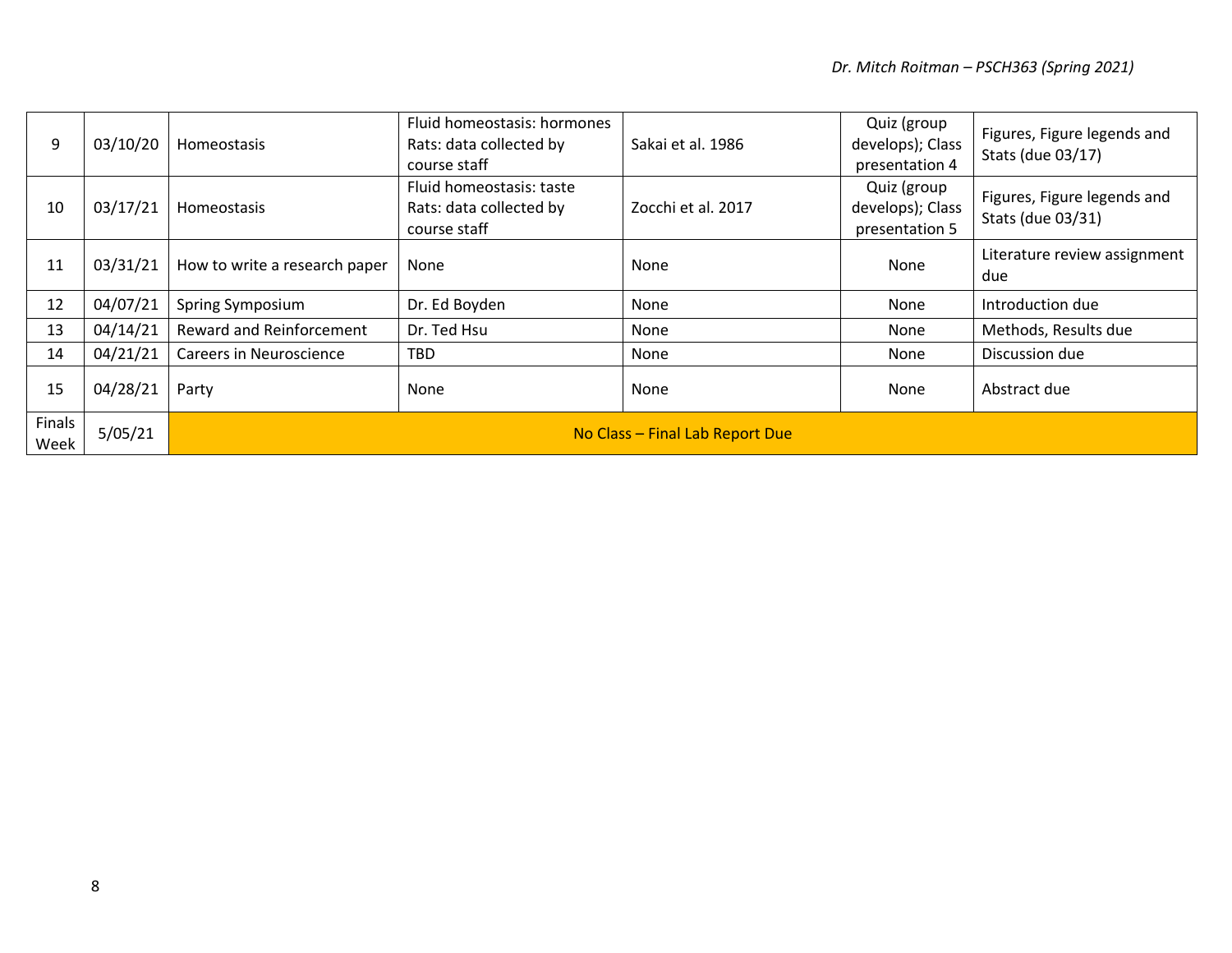| 9              | 03/10/20 | Homeostasis                     | Fluid homeostasis: hormones<br>Rats: data collected by<br>course staff | Sakai et al. 1986  | Quiz (group<br>develops); Class<br>presentation 4 | Figures, Figure legends and<br>Stats (due 03/17) |
|----------------|----------|---------------------------------|------------------------------------------------------------------------|--------------------|---------------------------------------------------|--------------------------------------------------|
| 10             | 03/17/21 | Homeostasis                     | Fluid homeostasis: taste<br>Rats: data collected by<br>course staff    | Zocchi et al. 2017 | Quiz (group<br>develops); Class<br>presentation 5 | Figures, Figure legends and<br>Stats (due 03/31) |
| 11             | 03/31/21 | How to write a research paper   | None                                                                   | None               | None                                              | Literature review assignment<br>due              |
| 12             | 04/07/21 | Spring Symposium                | Dr. Ed Boyden                                                          | None               | None                                              | Introduction due                                 |
| 13             | 04/14/21 | <b>Reward and Reinforcement</b> | Dr. Ted Hsu                                                            | None               | None                                              | Methods, Results due                             |
| 14             | 04/21/21 | <b>Careers in Neuroscience</b>  | <b>TBD</b>                                                             | None               | None                                              | Discussion due                                   |
| 15             | 04/28/21 | Party                           | None                                                                   | None               | None                                              | Abstract due                                     |
| Finals<br>Week | 5/05/21  | No Class - Final Lab Report Due |                                                                        |                    |                                                   |                                                  |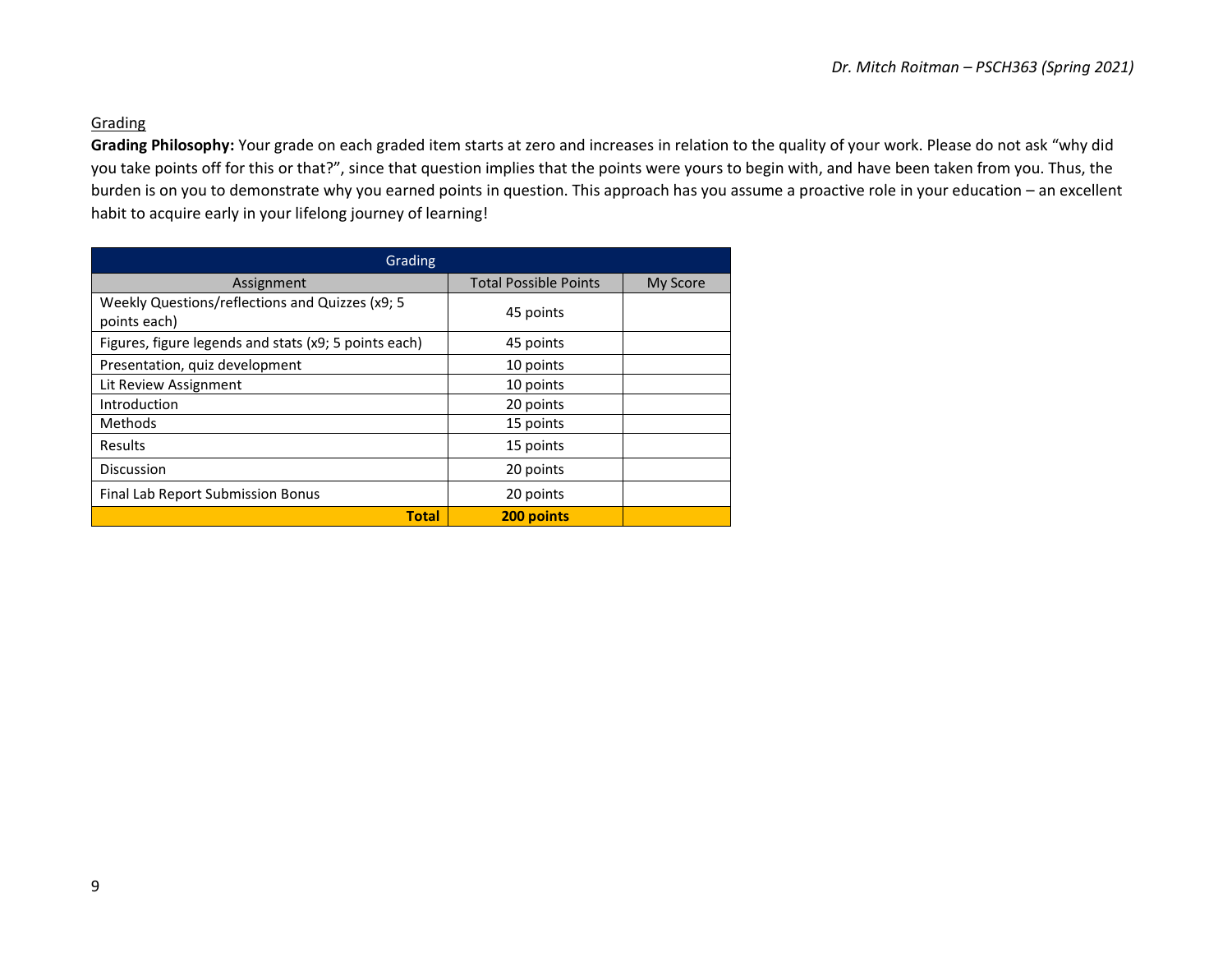## **Grading**

**Grading Philosophy:** Your grade on each graded item starts at zero and increases in relation to the quality of your work. Please do not ask "why did you take points off for this or that?", since that question implies that the points were yours to begin with, and have been taken from you. Thus, the burden is on you to demonstrate why you earned points in question. This approach has you assume a proactive role in your education – an excellent habit to acquire early in your lifelong journey of learning!

| Grading                                                          |                              |          |  |  |
|------------------------------------------------------------------|------------------------------|----------|--|--|
| Assignment                                                       | <b>Total Possible Points</b> | My Score |  |  |
| Weekly Questions/reflections and Quizzes (x9; 5)<br>points each) | 45 points                    |          |  |  |
| Figures, figure legends and stats (x9; 5 points each)            | 45 points                    |          |  |  |
| Presentation, quiz development                                   | 10 points                    |          |  |  |
| Lit Review Assignment                                            | 10 points                    |          |  |  |
| Introduction                                                     | 20 points                    |          |  |  |
| <b>Methods</b>                                                   | 15 points                    |          |  |  |
| Results                                                          | 15 points                    |          |  |  |
| Discussion                                                       | 20 points                    |          |  |  |
| Final Lab Report Submission Bonus                                | 20 points                    |          |  |  |
| <b>Total</b>                                                     | 200 points                   |          |  |  |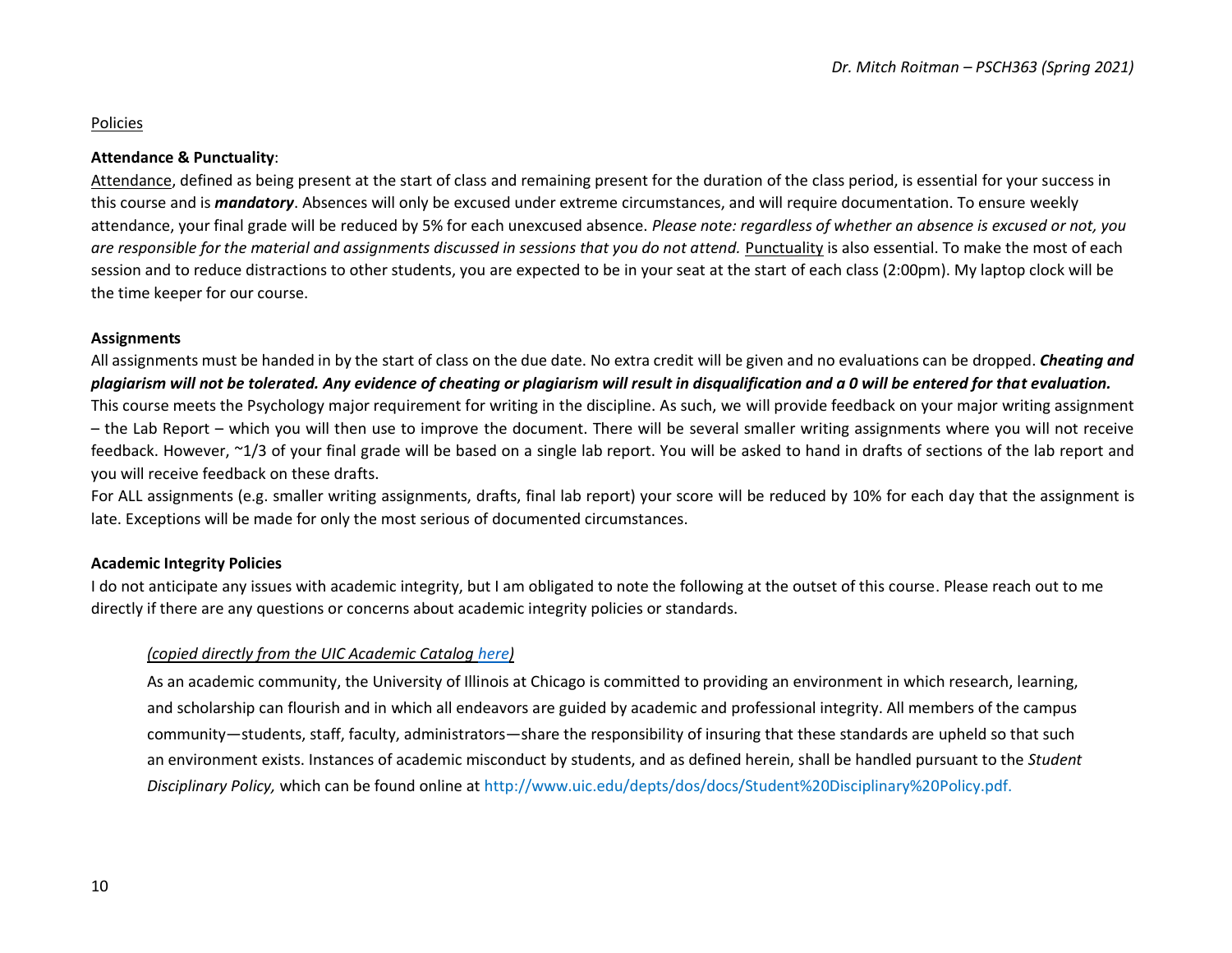## Policies

## **Attendance & Punctuality**:

Attendance, defined as being present at the start of class and remaining present for the duration of the class period, is essential for your success in this course and is *mandatory*. Absences will only be excused under extreme circumstances, and will require documentation. To ensure weekly attendance, your final grade will be reduced by 5% for each unexcused absence. *Please note: regardless of whether an absence is excused or not, you*  are responsible for the material and assignments discussed in sessions that you do not attend. Punctuality is also essential. To make the most of each session and to reduce distractions to other students, you are expected to be in your seat at the start of each class (2:00pm). My laptop clock will be the time keeper for our course.

## **Assignments**

All assignments must be handed in by the start of class on the due date. No extra credit will be given and no evaluations can be dropped. *Cheating and plagiarism will not be tolerated. Any evidence of cheating or plagiarism will result in disqualification and a 0 will be entered for that evaluation.* This course meets the Psychology major requirement for writing in the discipline. As such, we will provide feedback on your major writing assignment – the Lab Report – which you will then use to improve the document. There will be several smaller writing assignments where you will not receive feedback. However, ~1/3 of your final grade will be based on a single lab report. You will be asked to hand in drafts of sections of the lab report and you will receive feedback on these drafts.

For ALL assignments (e.g. smaller writing assignments, drafts, final lab report) your score will be reduced by 10% for each day that the assignment is late. Exceptions will be made for only the most serious of documented circumstances.

## **Academic Integrity Policies**

I do not anticipate any issues with academic integrity, but I am obligated to note the following at the outset of this course. Please reach out to me directly if there are any questions or concerns about academic integrity policies or standards.

## *(copied directly from the UIC Academic Catalog [here\)](http://catalog.uic.edu/ucat/degree-programs/univ-degree-requirements-graduation/#PSD)*

As an academic community, the University of Illinois at Chicago is committed to providing an environment in which research, learning, and scholarship can flourish and in which all endeavors are guided by academic and professional integrity. All members of the campus community—students, staff, faculty, administrators—share the responsibility of insuring that these standards are upheld so that such an environment exists. Instances of academic misconduct by students, and as defined herein, shall be handled pursuant to the *Student Disciplinary Policy,* which can be found online at [http://www.uic.edu/depts/dos/docs/Student%20Disciplinary%20Policy.pdf.](http://www.uic.edu/depts/dos/docs/Student%20Disciplinary%20Policy.pdf)